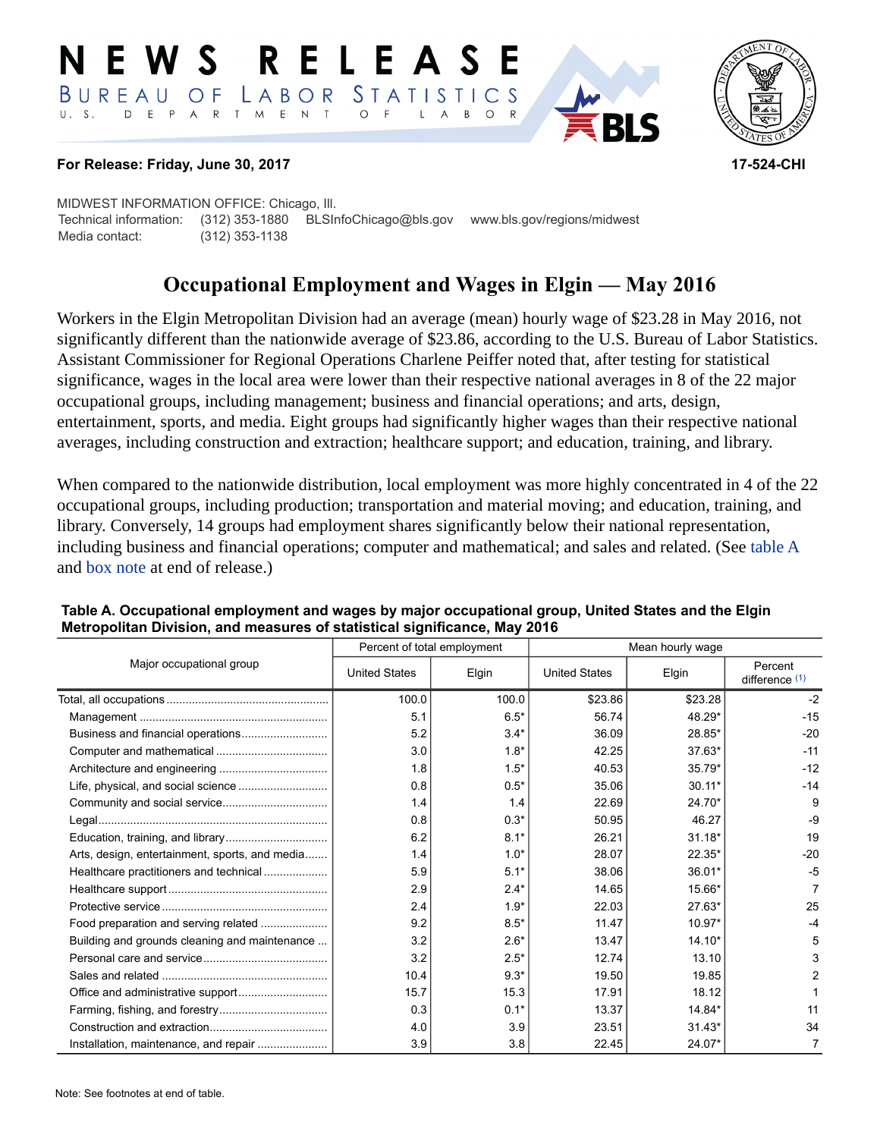#### RELEASE E W S LABOR STATISTICS BUREAU OF D E P A R T M E N T  $\circ$  $U. S.$  $\overline{F}$  $\overline{A}$  $B$  $\circ$  $\mathsf{L}$



## **For Release: Friday, June 30, 2017 17-524-CHI**

MIDWEST INFORMATION OFFICE: Chicago, Ill. Technical information: (312) 353-1880 BLSInfoChicago@bls.gov www.bls.gov/regions/midwest Media contact: (312) 353-1138

# **Occupational Employment and Wages in Elgin — May 2016**

Workers in the Elgin Metropolitan Division had an average (mean) hourly wage of \$23.28 in May 2016, not significantly different than the nationwide average of \$23.86, according to the U.S. Bureau of Labor Statistics. Assistant Commissioner for Regional Operations Charlene Peiffer noted that, after testing for statistical significance, wages in the local area were lower than their respective national averages in 8 of the 22 major occupational groups, including management; business and financial operations; and arts, design, entertainment, sports, and media. Eight groups had significantly higher wages than their respective national averages, including construction and extraction; healthcare support; and education, training, and library.

When compared to the nationwide distribution, local employment was more highly concentrated in 4 of the 22 occupational groups, including production; transportation and material moving; and education, training, and library. Conversely, 14 groups had employment shares significantly below their national representation, including business and financial operations; computer and mathematical; and sales and related. (See table A and [box note](#page-1-0) at end of release.)

|                                                |                      | Percent of total employment | Mean hourly wage     |          |                             |  |
|------------------------------------------------|----------------------|-----------------------------|----------------------|----------|-----------------------------|--|
| Major occupational group                       | <b>United States</b> | Elgin                       | <b>United States</b> | Elgin    | Percent<br>difference $(1)$ |  |
|                                                | 100.0                | 100.0                       | \$23.86              | \$23.28  | $-2$                        |  |
|                                                | 5.1                  | $6.5*$                      | 56.74                | 48.29*   | $-15$                       |  |
|                                                | 5.2                  | $3.4*$                      | 36.09                | 28.85*   | $-20$                       |  |
|                                                | 3.0                  | $1.8*$                      | 42.25                | $37.63*$ | $-11$                       |  |
|                                                | 1.8                  | $1.5*$                      | 40.53                | $35.79*$ | $-12$                       |  |
|                                                | 0.8                  | $0.5*$                      | 35.06                | $30.11*$ | $-14$                       |  |
|                                                | 1.4                  | 1.4                         | 22.69                | 24.70*   | 9                           |  |
|                                                | 0.8                  | $0.3*$                      | 50.95                | 46.27    | $-9$                        |  |
|                                                | 6.2                  | $8.1*$                      | 26.21                | $31.18*$ | 19                          |  |
| Arts, design, entertainment, sports, and media | 1.4                  | $1.0*$                      | 28.07                | $22.35*$ | $-20$                       |  |
| Healthcare practitioners and technical         | 5.9                  | $5.1*$                      | 38.06                | 36.01*   | -5                          |  |
|                                                | 2.9                  | $2.4*$                      | 14.65                | 15.66*   |                             |  |
|                                                | 2.4                  | $1.9*$                      | 22.03                | 27.63*   | 25                          |  |
| Food preparation and serving related           | 9.2                  | $8.5*$                      | 11.47                | $10.97*$ | $-4$                        |  |
| Building and grounds cleaning and maintenance  | 3.2                  | $2.6*$                      | 13.47                | $14.10*$ | 5                           |  |
|                                                | 3.2                  | $2.5*$                      | 12.74                | 13.10    | 3                           |  |
|                                                | 10.4                 | $9.3*$                      | 19.50                | 19.85    | 2                           |  |
|                                                | 15.7                 | 15.3                        | 17.91                | 18.12    |                             |  |
|                                                | 0.3                  | $0.1*$                      | 13.37                | 14.84*   | 11                          |  |
|                                                | 4.0                  | 3.9                         | 23.51                | $31.43*$ | 34                          |  |
| Installation, maintenance, and repair          | 3.9                  | 3.8                         | 22.45                | 24.07*   |                             |  |

#### **Table A. Occupational employment and wages by major occupational group, United States and the Elgin Metropolitan Division, and measures of statistical significance, May 2016**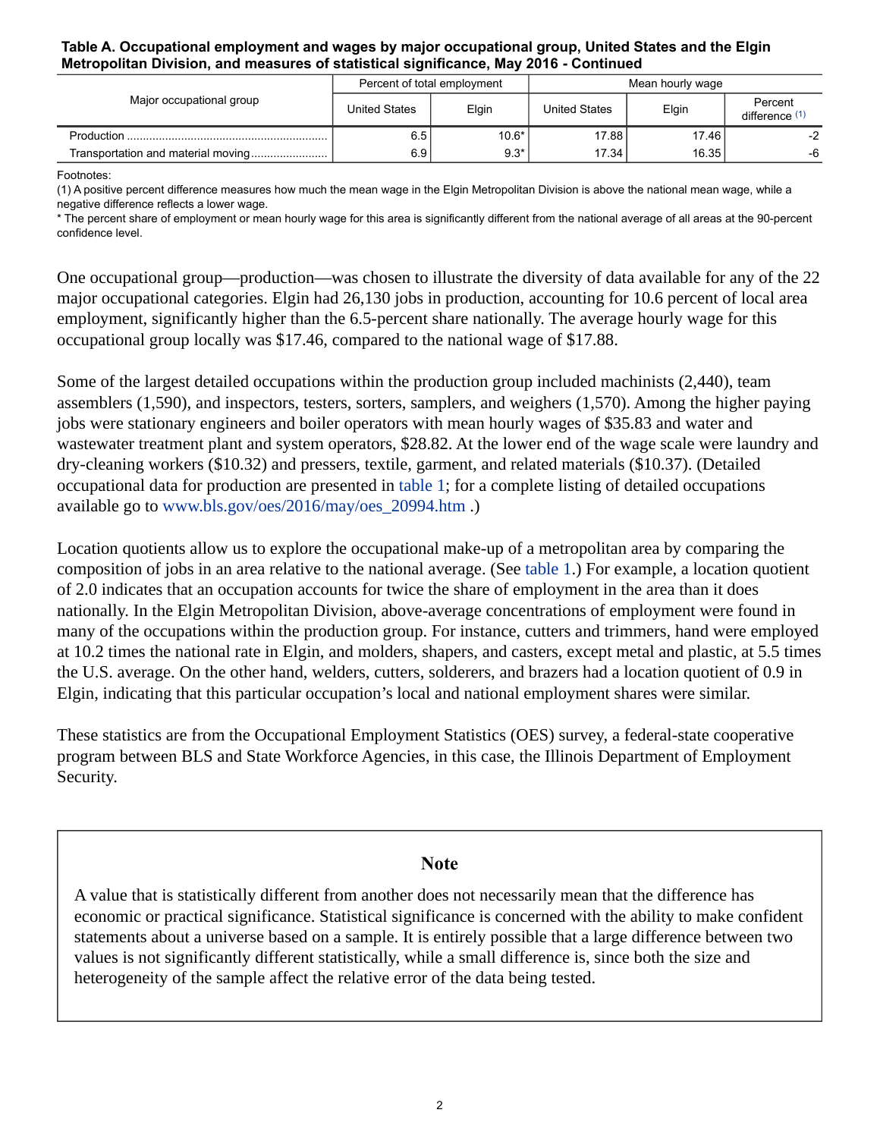#### **Table A. Occupational employment and wages by major occupational group, United States and the Elgin Metropolitan Division, and measures of statistical significance, May 2016 - Continued**

| Major occupational group | Percent of total employment |         | Mean hourly wage |       |                           |
|--------------------------|-----------------------------|---------|------------------|-------|---------------------------|
|                          | <b>United States</b>        | Elgin   | United States    | Elgin | Percent<br>difference (1) |
|                          | 6.5 <sub>1</sub>            | $10.6*$ | 17.88            | 17.46 | $-2$                      |
|                          | 6.9                         | $9.3*$  | 17.34            | 16.35 | -6                        |

Footnotes:

<span id="page-1-1"></span>(1) A positive percent difference measures how much the mean wage in the Elgin Metropolitan Division is above the national mean wage, while a negative difference reflects a lower wage.

\* The percent share of employment or mean hourly wage for this area is significantly different from the national average of all areas at the 90-percent confidence level.

One occupational group—production—was chosen to illustrate the diversity of data available for any of the 22 major occupational categories. Elgin had 26,130 jobs in production, accounting for 10.6 percent of local area employment, significantly higher than the 6.5-percent share nationally. The average hourly wage for this occupational group locally was \$17.46, compared to the national wage of \$17.88.

Some of the largest detailed occupations within the production group included machinists (2,440), team assemblers (1,590), and inspectors, testers, sorters, samplers, and weighers (1,570). Among the higher paying jobs were stationary engineers and boiler operators with mean hourly wages of \$35.83 and water and wastewater treatment plant and system operators, \$28.82. At the lower end of the wage scale were laundry and dry-cleaning workers (\$10.32) and pressers, textile, garment, and related materials (\$10.37). (Detailed occupational data for production are presented in table 1; for a complete listing of detailed occupations available go to [www.bls.gov/oes/2016/may/oes\\_20994.htm](https://www.bls.gov/oes/2016/may/oes_20994.htm) .)

Location quotients allow us to explore the occupational make-up of a metropolitan area by comparing the composition of jobs in an area relative to the national average. (See table 1.) For example, a location quotient of 2.0 indicates that an occupation accounts for twice the share of employment in the area than it does nationally. In the Elgin Metropolitan Division, above-average concentrations of employment were found in many of the occupations within the production group. For instance, cutters and trimmers, hand were employed at 10.2 times the national rate in Elgin, and molders, shapers, and casters, except metal and plastic, at 5.5 times the U.S. average. On the other hand, welders, cutters, solderers, and brazers had a location quotient of 0.9 in Elgin, indicating that this particular occupation's local and national employment shares were similar.

These statistics are from the Occupational Employment Statistics (OES) survey, a federal-state cooperative program between BLS and State Workforce Agencies, in this case, the Illinois Department of Employment Security.

## **Note**

<span id="page-1-0"></span>A value that is statistically different from another does not necessarily mean that the difference has economic or practical significance. Statistical significance is concerned with the ability to make confident statements about a universe based on a sample. It is entirely possible that a large difference between two values is not significantly different statistically, while a small difference is, since both the size and heterogeneity of the sample affect the relative error of the data being tested.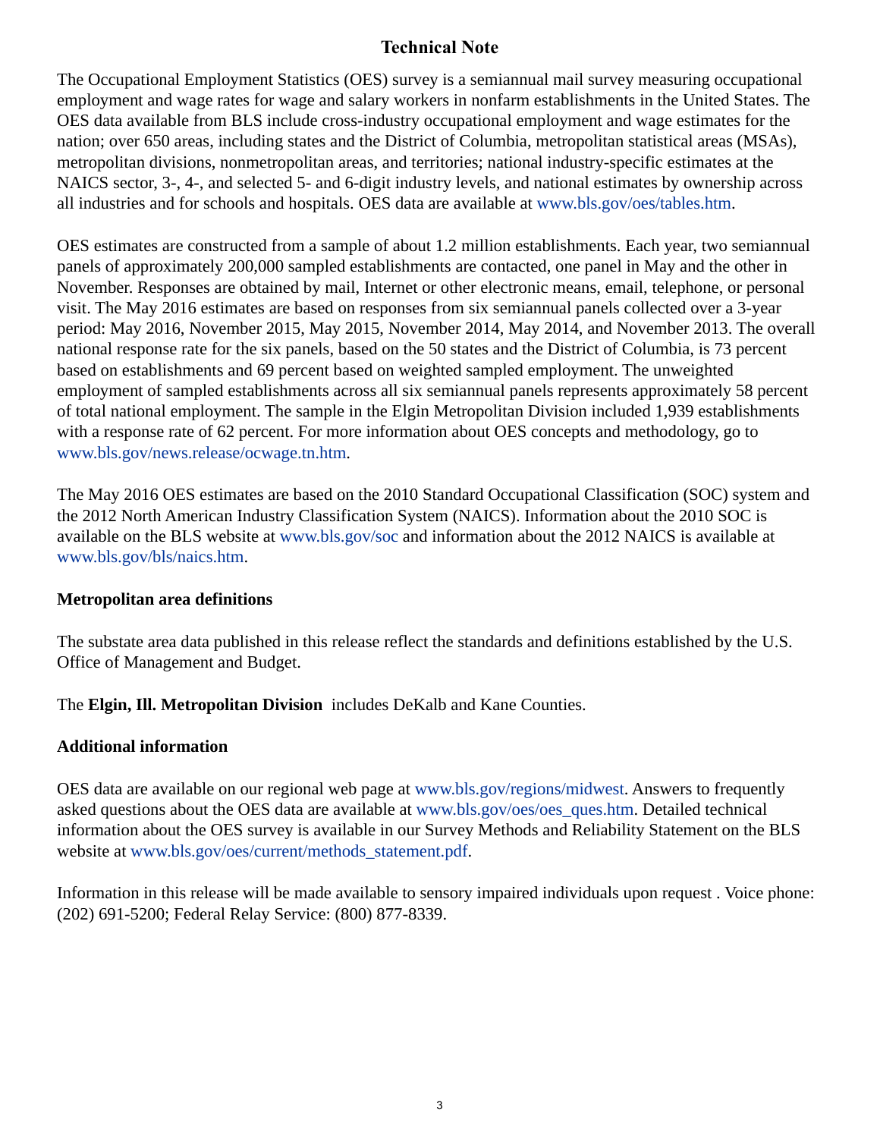## **Technical Note**

The Occupational Employment Statistics (OES) survey is a semiannual mail survey measuring occupational employment and wage rates for wage and salary workers in nonfarm establishments in the United States. The OES data available from BLS include cross-industry occupational employment and wage estimates for the nation; over 650 areas, including states and the District of Columbia, metropolitan statistical areas (MSAs), metropolitan divisions, nonmetropolitan areas, and territories; national industry-specific estimates at the NAICS sector, 3-, 4-, and selected 5- and 6-digit industry levels, and national estimates by ownership across all industries and for schools and hospitals. OES data are available at [www.bls.gov/oes/tables.htm](https://www.bls.gov/oes/tables.htm).

OES estimates are constructed from a sample of about 1.2 million establishments. Each year, two semiannual panels of approximately 200,000 sampled establishments are contacted, one panel in May and the other in November. Responses are obtained by mail, Internet or other electronic means, email, telephone, or personal visit. The May 2016 estimates are based on responses from six semiannual panels collected over a 3-year period: May 2016, November 2015, May 2015, November 2014, May 2014, and November 2013. The overall national response rate for the six panels, based on the 50 states and the District of Columbia, is 73 percent based on establishments and 69 percent based on weighted sampled employment. The unweighted employment of sampled establishments across all six semiannual panels represents approximately 58 percent of total national employment. The sample in the Elgin Metropolitan Division included 1,939 establishments with a response rate of 62 percent. For more information about OES concepts and methodology, go to [www.bls.gov/news.release/ocwage.tn.htm](https://www.bls.gov/news.release/ocwage.tn.htm).

The May 2016 OES estimates are based on the 2010 Standard Occupational Classification (SOC) system and the 2012 North American Industry Classification System (NAICS). Information about the 2010 SOC is available on the BLS website at [www.bls.gov/soc](https://www.bls.gov/soc) and information about the 2012 NAICS is available at [www.bls.gov/bls/naics.htm.](https://www.bls.gov/bls/naics.htm)

## **Metropolitan area definitions**

The substate area data published in this release reflect the standards and definitions established by the U.S. Office of Management and Budget.

The **Elgin, Ill. Metropolitan Division** includes DeKalb and Kane Counties.

## **Additional information**

OES data are available on our regional web page at [www.bls.gov/regions/midwest](https://www.bls.gov/regions/midwest). Answers to frequently asked questions about the OES data are available at [www.bls.gov/oes/oes\\_ques.htm](https://www.bls.gov/oes/oes_ques.htm). Detailed technical information about the OES survey is available in our Survey Methods and Reliability Statement on the BLS website at [www.bls.gov/oes/current/methods\\_statement.pdf.](https://www.bls.gov/oes/current/methods_statement.pdf)

Information in this release will be made available to sensory impaired individuals upon request . Voice phone: (202) 691-5200; Federal Relay Service: (800) 877-8339.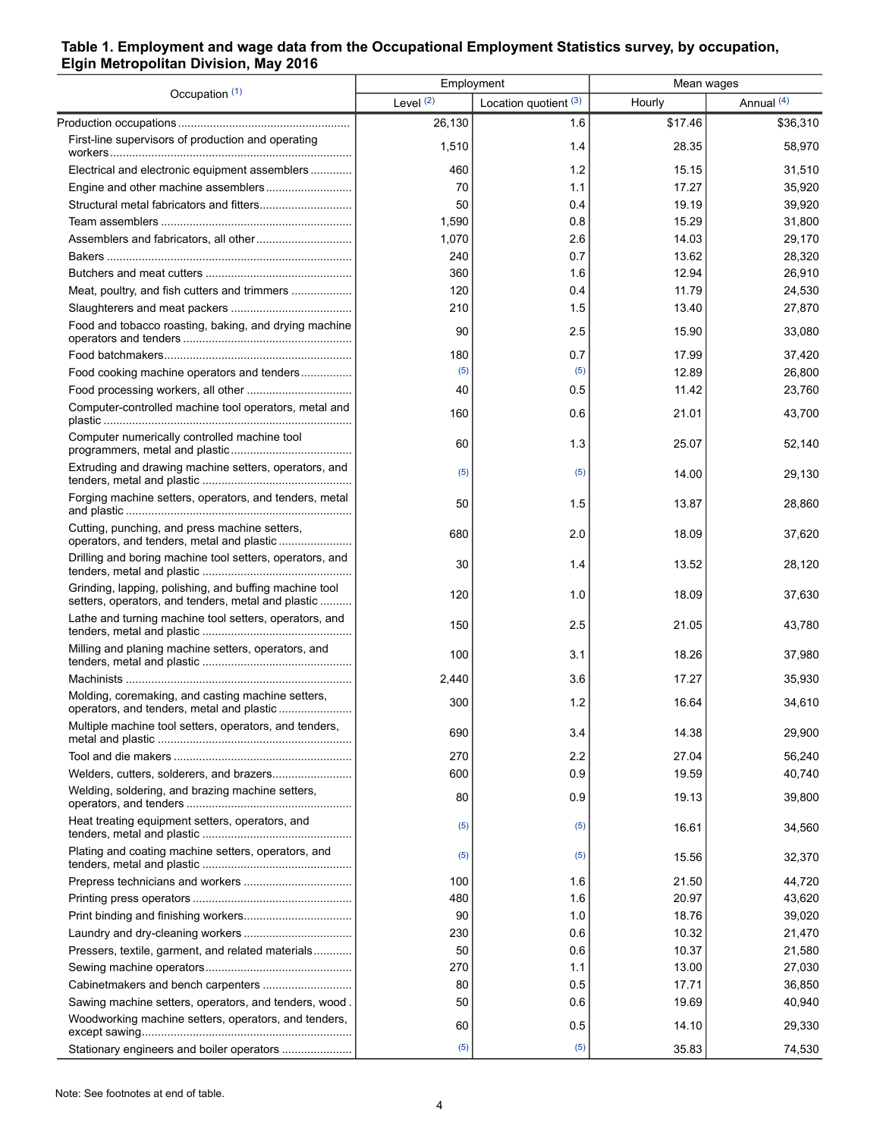## **Table 1. Employment and wage data from the Occupational Employment Statistics survey, by occupation, Elgin Metropolitan Division, May 2016**

| Occupation (1)                                                                                               | Employment |                       | Mean wages |            |  |
|--------------------------------------------------------------------------------------------------------------|------------|-----------------------|------------|------------|--|
|                                                                                                              | Level (2)  | Location quotient (3) | Hourly     | Annual (4) |  |
|                                                                                                              | 26,130     | 1.6                   | \$17.46    | \$36,310   |  |
| First-line supervisors of production and operating                                                           | 1,510      | 1.4                   | 28.35      | 58,970     |  |
| Electrical and electronic equipment assemblers                                                               | 460        | 1.2                   | 15.15      | 31,510     |  |
|                                                                                                              | 70         | 1.1                   | 17.27      | 35,920     |  |
|                                                                                                              | 50         | 0.4                   | 19.19      | 39,920     |  |
|                                                                                                              | 1,590      | 0.8                   | 15.29      | 31,800     |  |
|                                                                                                              | 1,070      | 2.6                   | 14.03      | 29,170     |  |
|                                                                                                              | 240        | 0.7                   | 13.62      | 28,320     |  |
|                                                                                                              | 360        | 1.6                   | 12.94      | 26,910     |  |
| Meat, poultry, and fish cutters and trimmers                                                                 | 120        | 0.4                   | 11.79      | 24,530     |  |
|                                                                                                              | 210        | 1.5                   | 13.40      | 27,870     |  |
| Food and tobacco roasting, baking, and drying machine                                                        | 90         | 2.5                   | 15.90      | 33,080     |  |
|                                                                                                              | 180        | 0.7                   | 17.99      | 37,420     |  |
| Food cooking machine operators and tenders                                                                   | (5)        | (5)                   | 12.89      | 26,800     |  |
|                                                                                                              | 40         | 0.5                   | 11.42      | 23,760     |  |
| Computer-controlled machine tool operators, metal and                                                        | 160        | 0.6                   | 21.01      | 43,700     |  |
| Computer numerically controlled machine tool                                                                 | 60         | 1.3                   | 25.07      | 52,140     |  |
| Extruding and drawing machine setters, operators, and                                                        | (5)        | (5)                   | 14.00      | 29,130     |  |
| Forging machine setters, operators, and tenders, metal                                                       | 50         | 1.5                   | 13.87      | 28,860     |  |
| Cutting, punching, and press machine setters,<br>operators, and tenders, metal and plastic                   | 680        | 2.0                   | 18.09      | 37,620     |  |
| Drilling and boring machine tool setters, operators, and                                                     | 30         | 1.4                   | 13.52      | 28,120     |  |
| Grinding, lapping, polishing, and buffing machine tool<br>setters, operators, and tenders, metal and plastic | 120        | 1.0                   | 18.09      | 37,630     |  |
| Lathe and turning machine tool setters, operators, and                                                       | 150        | 2.5                   | 21.05      | 43,780     |  |
| Milling and planing machine setters, operators, and                                                          | 100        | 3.1                   | 18.26      | 37,980     |  |
|                                                                                                              | 2,440      | 3.6                   | 17.27      | 35,930     |  |
| Molding, coremaking, and casting machine setters,<br>operators, and tenders, metal and plastic               | 300        | 1.2                   | 16.64      | 34,610     |  |
| Multiple machine tool setters, operators, and tenders,                                                       | 690        | 3.4                   | 14.38      | 29,900     |  |
|                                                                                                              | 270        | 2.2                   | 27.04      | 56.240     |  |
|                                                                                                              | 600        | 0.9                   | 19.59      | 40,740     |  |
| Welding, soldering, and brazing machine setters,                                                             | 80         | 0.9                   | 19.13      | 39,800     |  |
| Heat treating equipment setters, operators, and                                                              | (5)        | (5)                   | 16.61      | 34,560     |  |
| Plating and coating machine setters, operators, and                                                          | (5)        | (5)                   | 15.56      | 32,370     |  |
|                                                                                                              | 100        | 1.6                   | 21.50      | 44,720     |  |
|                                                                                                              | 480        | 1.6                   | 20.97      | 43,620     |  |
|                                                                                                              | 90         | 1.0                   | 18.76      | 39,020     |  |
|                                                                                                              | 230        | 0.6                   | 10.32      | 21,470     |  |
| Pressers, textile, garment, and related materials                                                            | 50         | 0.6                   | 10.37      | 21,580     |  |
|                                                                                                              | 270        | 1.1                   | 13.00      | 27,030     |  |
|                                                                                                              | 80         | 0.5                   | 17.71      | 36,850     |  |
| Sawing machine setters, operators, and tenders, wood.                                                        | 50         | 0.6                   | 19.69      | 40,940     |  |
| Woodworking machine setters, operators, and tenders,                                                         | 60         | 0.5                   | 14.10      | 29,330     |  |
| Stationary engineers and boiler operators                                                                    | (5)        | (5)                   | 35.83      | 74,530     |  |